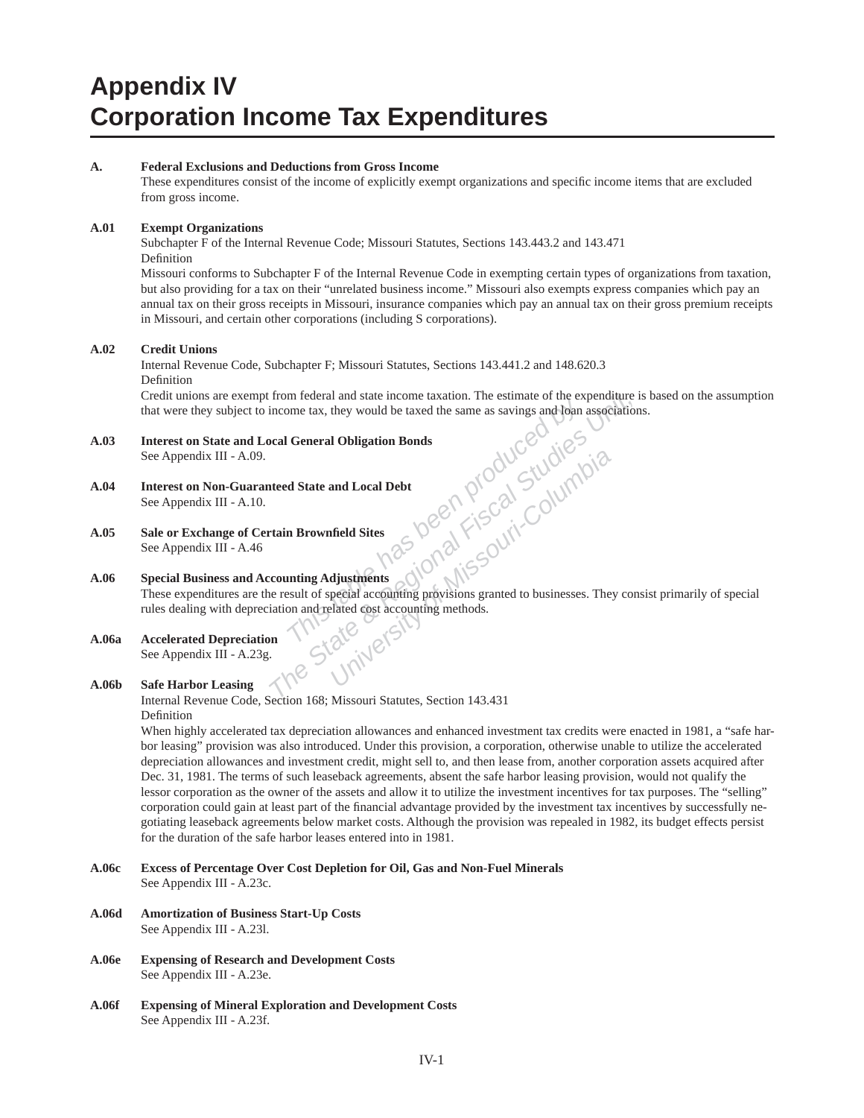# **Appendix IV Corporation Income Tax Expenditures**

#### **A. Federal Exclusions and Deductions from Gross Income**

These expenditures consist of the income of explicitly exempt organizations and specifi c income items that are excluded from gross income.

#### **A.01 Exempt Organizations**

Subchapter F of the Internal Revenue Code; Missouri Statutes, Sections 143.443.2 and 143.471 Definition

Missouri conforms to Subchapter F of the Internal Revenue Code in exempting certain types of organizations from taxation, but also providing for a tax on their "unrelated business income." Missouri also exempts express companies which pay an annual tax on their gross receipts in Missouri, insurance companies which pay an annual tax on their gross premium receipts in Missouri, and certain other corporations (including S corporations).

#### **A.02 Credit Unions**

# Internal Revenue Code, Subchapter F; Missouri Statutes, Sections 143.441.2 and 148.620.3

Definition Credit unions are exempt from federal and state income taxation. The estimate of the expenditure is based on the assumption that were they subject to income tax, they would be taxed the same as savings and loan associations.

**A.03 Interest on State and Local General Obligation Bonds**

See Appendix III - A.09.

- **A.04 Interest on Non-Guaranteed State and Local Debt** See Appendix III - A.10.
- **A.05 Sale or Exchange of Certain Brownfi eld Sites** See Appendix III - A.46

### **A.06 Special Business and Accounting Adjustments**

From federal and state income taxation. The estimate of the expenditure income tax, they would be taxed the same as savings and Joan association<br> **The State and Local Debt**<br> **The State and Local Debt**<br> **This is a columbial** These expenditures are the result of special accounting provisions granted to businesses. They consist primarily of special rules dealing with depreciation and related cost accounting methods.<br>Accelerated Depreciation See Appendix III - A.23g.

# **A.06a Accelerated Depreciation**

See Appendix III - A.23g.

#### **A.06b Safe Harbor Leasing**

Internal Revenue Code, Section 168; Missouri Statutes, Section 143.431 Definition

When highly accelerated tax depreciation allowances and enhanced investment tax credits were enacted in 1981, a "safe harbor leasing" provision was also introduced. Under this provision, a corporation, otherwise unable to utilize the accelerated depreciation allowances and investment credit, might sell to, and then lease from, another corporation assets acquired after Dec. 31, 1981. The terms of such leaseback agreements, absent the safe harbor leasing provision, would not qualify the lessor corporation as the owner of the assets and allow it to utilize the investment incentives for tax purposes. The "selling" corporation could gain at least part of the financial advantage provided by the investment tax incentives by successfully negotiating leaseback agreements below market costs. Although the provision was repealed in 1982, its budget effects persist for the duration of the safe harbor leases entered into in 1981.

- **A.06c Excess of Percentage Over Cost Depletion for Oil, Gas and Non-Fuel Minerals** See Appendix III - A.23c.
- **A.06d Amortization of Business Start-Up Costs** See Appendix III - A.23l.
- **A.06e Expensing of Research and Development Costs** See Appendix III - A.23e.
- **A.06f Expensing of Mineral Exploration and Development Costs** See Appendix III - A.23f.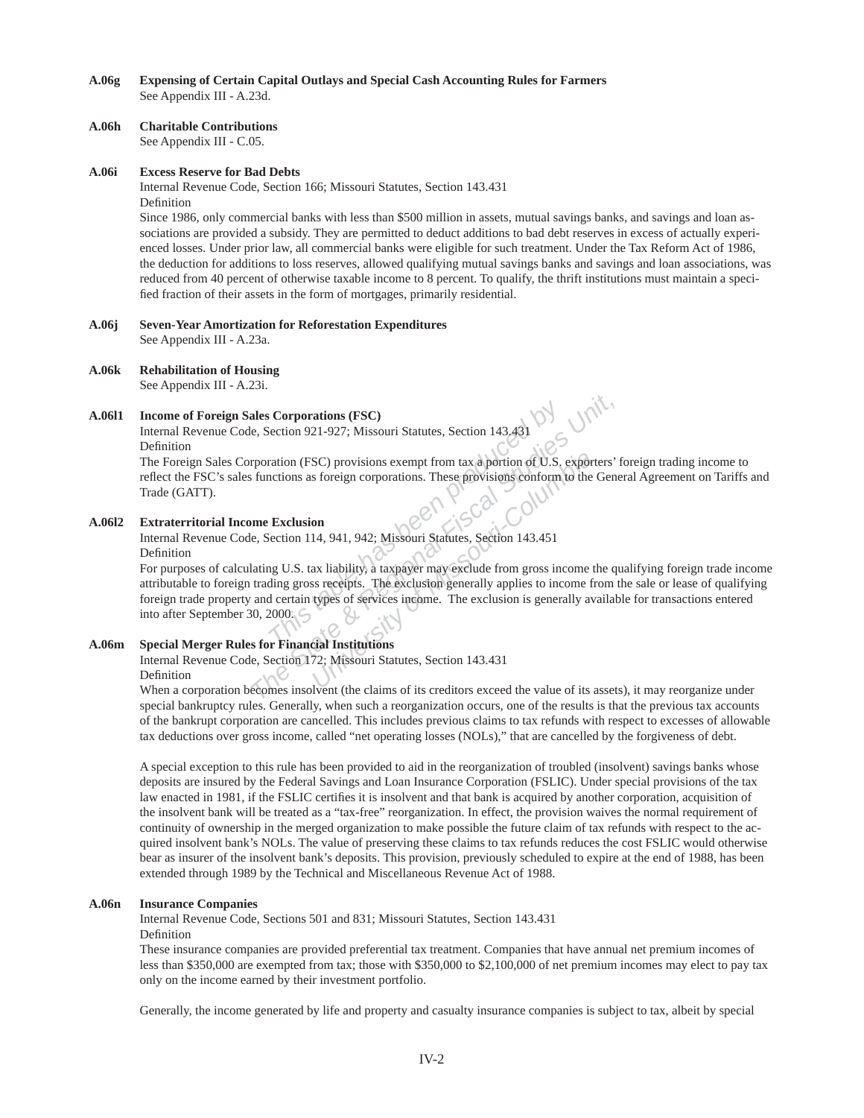**A.06g Expensing of Certain Capital Outlays and Special Cash Accounting Rules for Farmers** See Appendix III - A.23d.

#### **A.06h Charitable Contributions**

See Appendix III - C.05.

#### **A.06i Excess Reserve for Bad Debts**

Internal Revenue Code, Section 166; Missouri Statutes, Section 143.431 Definition

Since 1986, only commercial banks with less than \$500 million in assets, mutual savings banks, and savings and loan associations are provided a subsidy. They are permitted to deduct additions to bad debt reserves in excess of actually experienced losses. Under prior law, all commercial banks were eligible for such treatment. Under the Tax Reform Act of 1986, the deduction for additions to loss reserves, allowed qualifying mutual savings banks and savings and loan associations, was reduced from 40 percent of otherwise taxable income to 8 percent. To qualify, the thrift institutions must maintain a specified fraction of their assets in the form of mortgages, primarily residential.

# **A.06j Seven-Year Amortization for Reforestation Expenditures**

See Appendix III - A.23a.

**A.06k Rehabilitation of Housing**

See Appendix III - A.23i.

#### **A.06l1 Income of Foreign Sales Corporations (FSC)**

Internal Revenue Code, Section 921-927; Missouri Statutes, Section 143.431 Definition

The Foreign Sales Corporation (FSC) provisions exempt from tax a portion of U.S. exporters' foreign trading income to reflect the FSC's sales functions as foreign corporations. These provisions conform to the General Agreement on Tariffs and Trade (GATT).

# **A.06l2 Extraterritorial Income Exclusion**

Internal Revenue Code, Section 114, 941, 942; Missouri Statutes, Section 143.451 Definition

**The Component CEO CONTROVIDE SECTS CONTROVED EXECUTED**<br>
The provisions as foreign corporations. These provisions conform<br> **The provisions conform**<br> **The provisions conform**<br> **The provisions conform**<br> **The Exclusion**<br> **The The State Corporations (FSC)**<br> **The State Biomannistic State Associal ASS (Proportions as foreign corporations. These provisions conform to the Gene<br>
<b>The Exclusion**<br> **The Exclusion**<br> **The Exclusion**<br> **The Exclusion State SC**) provisions exempt from tax a portion of U.S. exports foreign corporations. These provisions conform to the model of Missouri-Columbia Columbia Columbia ax liability, a taxpayer may exclude from gross income that is r For purposes of calculating U.S. tax liability, a taxpayer may exclude from gross income the qualifying foreign trade income attributable to foreign trading gross receipts. The exclusion generally applies to income from the sale or lease of qualifying foreign trade property and certain types of services income. The exclusion is generally available for transactions entered into after September 30, 2000.

#### **A.06m Special Merger Rules for Financial Institutions**

Internal Revenue Code, Section 172; Missouri Statutes, Section 143.431

Definition

When a corporation becomes insolvent (the claims of its creditors exceed the value of its assets), it may reorganize under special bankruptcy rules. Generally, when such a reorganization occurs, one of the results is that the previous tax accounts of the bankrupt corporation are cancelled. This includes previous claims to tax refunds with respect to excesses of allowable tax deductions over gross income, called "net operating losses (NOLs)," that are cancelled by the forgiveness of debt.

A special exception to this rule has been provided to aid in the reorganization of troubled (insolvent) savings banks whose deposits are insured by the Federal Savings and Loan Insurance Corporation (FSLIC). Under special provisions of the tax law enacted in 1981, if the FSLIC certifies it is insolvent and that bank is acquired by another corporation, acquisition of the insolvent bank will be treated as a "tax-free" reorganization. In effect, the provision waives the normal requirement of continuity of ownership in the merged organization to make possible the future claim of tax refunds with respect to the acquired insolvent bank's NOLs. The value of preserving these claims to tax refunds reduces the cost FSLIC would otherwise bear as insurer of the insolvent bank's deposits. This provision, previously scheduled to expire at the end of 1988, has been extended through 1989 by the Technical and Miscellaneous Revenue Act of 1988.

#### **A.06n Insurance Companies**

Internal Revenue Code, Sections 501 and 831; Missouri Statutes, Section 143.431

Definition

These insurance companies are provided preferential tax treatment. Companies that have annual net premium incomes of less than \$350,000 are exempted from tax; those with \$350,000 to \$2,100,000 of net premium incomes may elect to pay tax only on the income earned by their investment portfolio.

Generally, the income generated by life and property and casualty insurance companies is subject to tax, albeit by special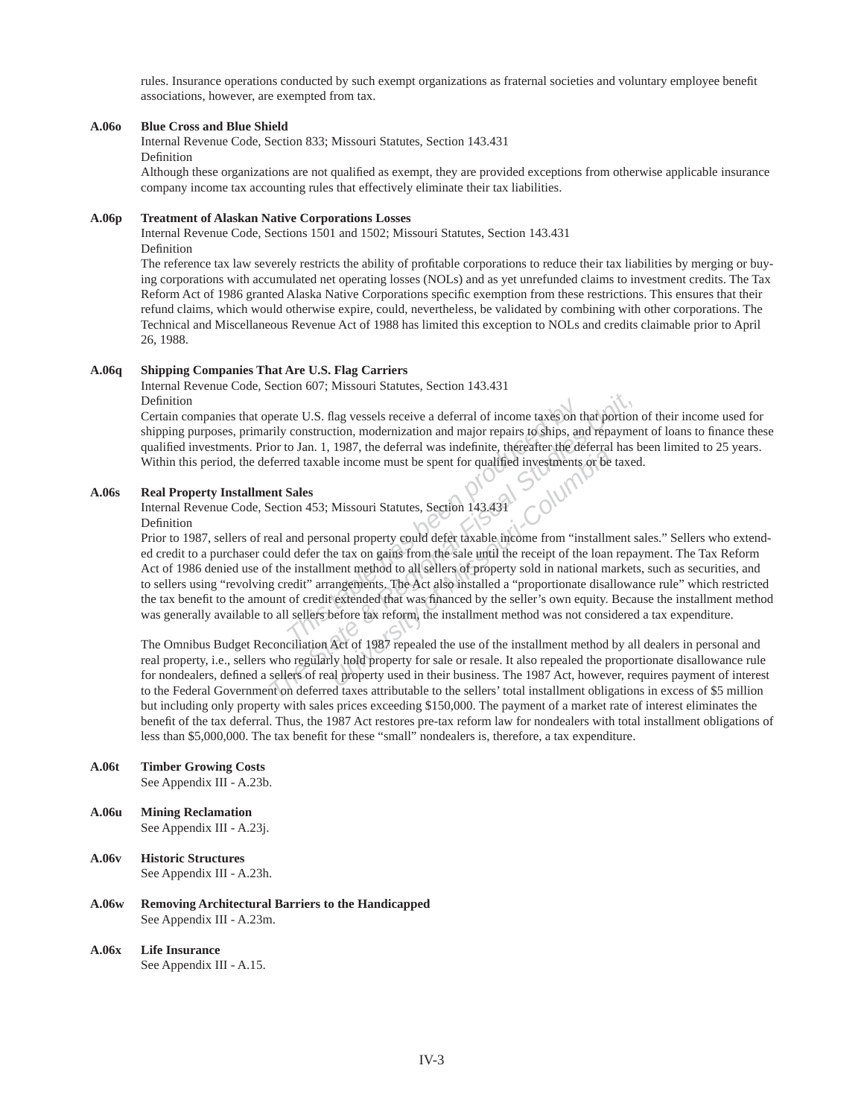rules. Insurance operations conducted by such exempt organizations as fraternal societies and voluntary employee benefit associations, however, are exempted from tax.

### **A.06o Blue Cross and Blue Shield**

Internal Revenue Code, Section 833; Missouri Statutes, Section 143.431 Definition

Although these organizations are not qualified as exempt, they are provided exceptions from otherwise applicable insurance company income tax accounting rules that effectively eliminate their tax liabilities.

#### **A.06p Treatment of Alaskan Native Corporations Losses**

Internal Revenue Code, Sections 1501 and 1502; Missouri Statutes, Section 143.431 Definition

The reference tax law severely restricts the ability of profitable corporations to reduce their tax liabilities by merging or buying corporations with accumulated net operating losses (NOLs) and as yet unrefunded claims to investment credits. The Tax Reform Act of 1986 granted Alaska Native Corporations specific exemption from these restrictions. This ensures that their refund claims, which would otherwise expire, could, nevertheless, be validated by combining with other corporations. The Technical and Miscellaneous Revenue Act of 1988 has limited this exception to NOLs and credits claimable prior to April 26, 1988.

#### **A.06q Shipping Companies That Are U.S. Flag Carriers**

Internal Revenue Code, Section 607; Missouri Statutes, Section 143.431

Definition

Certain companies that operate U.S. flag vessels receive a deferral of income taxes on that portion of their income used for shipping purposes, primarily construction, modernization and major repairs to ships, and repayment of loans to finance these qualified investments. Prior to Jan. 1, 1987, the deferral was indefinite, thereafter the deferral has been limited to 25 years. Within this period, the deferred taxable income must be spent for qualified investments or be taxed.

#### **A.06s Real Property Installment Sales**

Internal Revenue Code, Section 453; Missouri Statutes, Section 143.431

# Definition

the U.S. flag vessels receive a deferral of income taxes on t<br>construction, modernization and major repairs to ships, an<br>o Jan. 1, 1987, the deferral was indefinite, thereafter the de<br>ed taxable income must be spent for qu perate U.S. flag vessels receive a deferral of income taxes on that portion<br>rily construction, modernization and major repairs to ships, and repayment<br>or to Jan. 1, 1987, the deferral was indefinite, thereafter the deferra *Usor*, the determining matematic, therefore income must be spent for qualified investments or be<br>*Missouri-Statutes, Section 143.431*<br>**Missouri-Statutes, Section 143.431**<br>**Onal property could defer taxable income from "in** Prior to 1987, sellers of real and personal property could defer taxable income from "installment sales." Sellers who extended credit to a purchaser could defer the tax on gains from the sale until the receipt of the loan repayment. The Tax Reform Act of 1986 denied use of the installment method to all sellers of property sold in national markets, such as securities, and to sellers using "revolving credit" arrangements. The Act also installed a "proportionate disallowance rule" which restricted the tax benefit to the amount of credit extended that was financed by the seller's own equity. Because the installment method was generally available to all sellers before tax reform, the installment method was not considered a tax expenditure.

The Omnibus Budget Reconciliation Act of 1987 repealed the use of the installment method by all dealers in personal and real property, i.e., sellers who regularly hold property for sale or resale. It also repealed the proportionate disallowance rule for nondealers, defined a sellers of real property used in their business. The 1987 Act, however, requires payment of interest to the Federal Government on deferred taxes attributable to the sellers' total installment obligations in excess of \$5 million but including only property with sales prices exceeding \$150,000. The payment of a market rate of interest eliminates the benefit of the tax deferral. Thus, the 1987 Act restores pre-tax reform law for nondealers with total installment obligations of less than \$5,000,000. The tax benefit for these "small" nondealers is, therefore, a tax expenditure.

- **A.06t Timber Growing Costs** See Appendix III - A.23b.
- **A.06u Mining Reclamation** See Appendix III - A.23j.
- **A.06v Historic Structures** See Appendix III - A.23h.
- **A.06w Removing Architectural Barriers to the Handicapped** See Appendix III - A.23m.
- **A.06x Life Insurance** See Appendix III - A.15.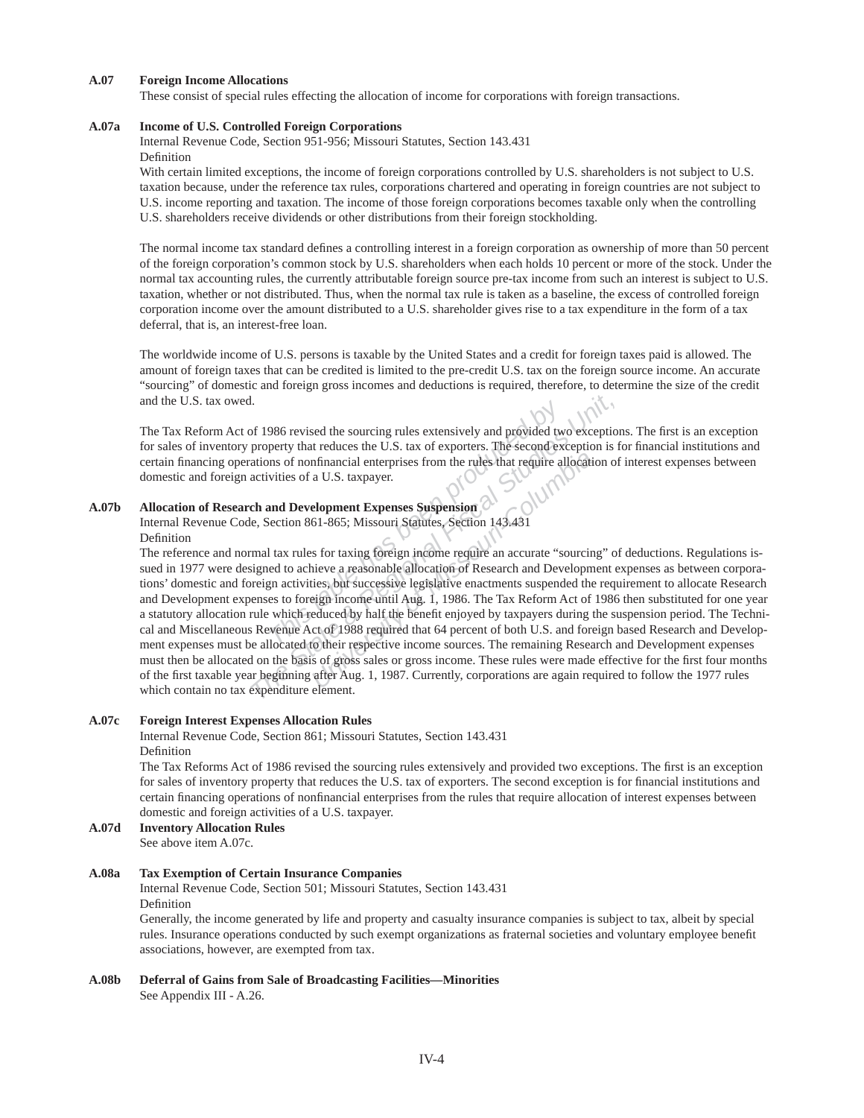#### **A.07 Foreign Income Allocations**

These consist of special rules effecting the allocation of income for corporations with foreign transactions.

#### **A.07a Income of U.S. Controlled Foreign Corporations**

Internal Revenue Code, Section 951-956; Missouri Statutes, Section 143.431 Definition

With certain limited exceptions, the income of foreign corporations controlled by U.S. shareholders is not subject to U.S. taxation because, under the reference tax rules, corporations chartered and operating in foreign countries are not subject to U.S. income reporting and taxation. The income of those foreign corporations becomes taxable only when the controlling U.S. shareholders receive dividends or other distributions from their foreign stockholding.

The normal income tax standard defines a controlling interest in a foreign corporation as ownership of more than 50 percent of the foreign corporation's common stock by U.S. shareholders when each holds 10 percent or more of the stock. Under the normal tax accounting rules, the currently attributable foreign source pre-tax income from such an interest is subject to U.S. taxation, whether or not distributed. Thus, when the normal tax rule is taken as a baseline, the excess of controlled foreign corporation income over the amount distributed to a U.S. shareholder gives rise to a tax expenditure in the form of a tax deferral, that is, an interest-free loan.

The worldwide income of U.S. persons is taxable by the United States and a credit for foreign taxes paid is allowed. The amount of foreign taxes that can be credited is limited to the pre-credit U.S. tax on the foreign source income. An accurate "sourcing" of domestic and foreign gross incomes and deductions is required, therefore, to determine the size of the credit and the U.S. tax owed.

The Tax Reform Act of 1986 revised the sourcing rules extensively and provided two exceptions. The first is an exception for sales of inventory property that reduces the U.S. tax of exporters. The second exception is for financial institutions and certain financing operations of nonfinancial enterprises from the rules that require allocation of interest expenses between domestic and foreign activities of a U.S. taxpayer.

#### **A.07b Allocation of Research and Development Expenses Suspension**

Internal Revenue Code, Section 861-865; Missouri Statutes, Section 143.431 Definition

986 revised the sourcing rules extensively and provided tweety that reduces the U.S. tax of exporters. The second exponsion and Development Expenses Suspension extensively and Development Expenses Suspension (and Developme *The State State State State State State State State State State State State State State State State State State State State State State State State State State State State State State State State State State State State S* mfinancial enterprises from the rules that require allocati<br>
a U.S. taxpayer.<br> **elopment Expenses Suspension**<br>
61-865; Missouri Statutes, Section 143.431<br>
s for taxing foreign income require an accurate "sourcin<br>
nieve a r The reference and normal tax rules for taxing foreign income require an accurate "sourcing" of deductions. Regulations issued in 1977 were designed to achieve a reasonable allocation of Research and Development expenses as between corporations' domestic and foreign activities, but successive legislative enactments suspended the requirement to allocate Research and Development expenses to foreign income until Aug. 1, 1986. The Tax Reform Act of 1986 then substituted for one year a statutory allocation rule which reduced by half the benefit enjoyed by taxpayers during the suspension period. The Technical and Miscellaneous Revenue Act of 1988 required that 64 percent of both U.S. and foreign based Research and Development expenses must be allocated to their respective income sources. The remaining Research and Development expenses must then be allocated on the basis of gross sales or gross income. These rules were made effective for the first four months of the first taxable year beginning after Aug. 1, 1987. Currently, corporations are again required to follow the 1977 rules which contain no tax expenditure element.

#### **A.07c Foreign Interest Expenses Allocation Rules**

Internal Revenue Code, Section 861; Missouri Statutes, Section 143.431

#### Definition

The Tax Reforms Act of 1986 revised the sourcing rules extensively and provided two exceptions. The first is an exception for sales of inventory property that reduces the U.S. tax of exporters. The second exception is for financial institutions and certain financing operations of nonfinancial enterprises from the rules that require allocation of interest expenses between domestic and foreign activities of a U.S. taxpayer.

**A.07d Inventory Allocation Rules** See above item A.07c.

#### **A.08a Tax Exemption of Certain Insurance Companies**

Internal Revenue Code, Section 501; Missouri Statutes, Section 143.431 Definition

Generally, the income generated by life and property and casualty insurance companies is subject to tax, albeit by special rules. Insurance operations conducted by such exempt organizations as fraternal societies and voluntary employee benefit associations, however, are exempted from tax.

**A.08b Deferral of Gains from Sale of Broadcasting Facilities—Minorities** See Appendix III - A.26.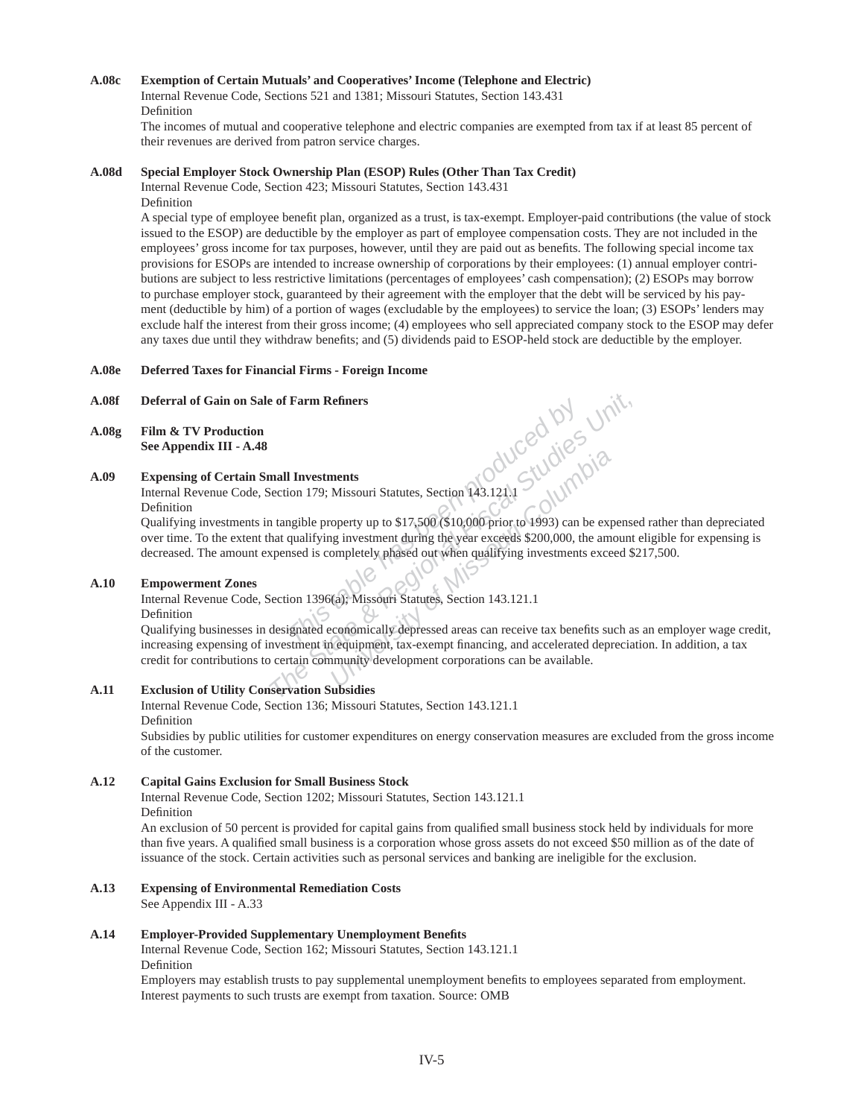#### **A.08c Exemption of Certain Mutuals' and Cooperatives' Income (Telephone and Electric)**

Internal Revenue Code, Sections 521 and 1381; Missouri Statutes, Section 143.431 Definition

The incomes of mutual and cooperative telephone and electric companies are exempted from tax if at least 85 percent of their revenues are derived from patron service charges.

#### **A.08d Special Employer Stock Ownership Plan (ESOP) Rules (Other Than Tax Credit)**

Internal Revenue Code, Section 423; Missouri Statutes, Section 143.431 Definition

A special type of employee benefit plan, organized as a trust, is tax-exempt. Employer-paid contributions (the value of stock issued to the ESOP) are deductible by the employer as part of employee compensation costs. They are not included in the employees' gross income for tax purposes, however, until they are paid out as benefits. The following special income tax provisions for ESOPs are intended to increase ownership of corporations by their employees: (1) annual employer contributions are subject to less restrictive limitations (percentages of employees' cash compensation); (2) ESOPs may borrow to purchase employer stock, guaranteed by their agreement with the employer that the debt will be serviced by his payment (deductible by him) of a portion of wages (excludable by the employees) to service the loan; (3) ESOPs' lenders may exclude half the interest from their gross income; (4) employees who sell appreciated company stock to the ESOP may defer any taxes due until they withdraw benefits; and (5) dividends paid to ESOP-held stock are deductible by the employer.

#### **A.08e Deferred Taxes for Financial Firms - Foreign Income**

#### **A.08f Deferral of Gain on Sale of Farm Refi ners**

**A.08g Film & TV Production See Appendix III - A.48**

#### **A.09 Expensing of Certain Small Investments**

Internal Revenue Code, Section 179; Missouri Statutes, Section 143.121.1 Definition

Qualifying investments in tangible property up to \$17,500 (\$10,000 prior to 1993) can be expensed rather than depreciated over time. To the extent that qualifying investment during the year exceeds \$200,000, the amount eligible for expensing is decreased. The amount expensed is completely phased out when qualifying investments exceed \$217,500.

#### **A.10 Empowerment Zones**

Internal Revenue Code, Section 1396(a); Missouri Statutes, Section 143.121.1 Definition

**This table has able that the State State & Regional Three<br>
This isomic State State & Regional To the State Been property up to \$17,500 (\$10,000 prior to 1993) can be expense<br>
that qualifying investment during the year exc** Qualifying businesses in designated economically depressed areas can receive tax benefits such as an employer wage credit, increasing expensing of investment in equipment, tax-exempt financing, and accelerated depreciation. In addition, a tax credit for contributions to certain community development corporations can be available.

# **A.11 Exclusion of Utility Conservation Subsidies**

Internal Revenue Code, Section 136; Missouri Statutes, Section 143.121.1 Definition

Subsidies by public utilities for customer expenditures on energy conservation measures are excluded from the gross income of the customer.

#### **A.12 Capital Gains Exclusion for Small Business Stock**

Internal Revenue Code, Section 1202; Missouri Statutes, Section 143.121.1 Definition

An exclusion of 50 percent is provided for capital gains from qualified small business stock held by individuals for more than five years. A qualified small business is a corporation whose gross assets do not exceed \$50 million as of the date of issuance of the stock. Certain activities such as personal services and banking are ineligible for the exclusion.

# **A.13 Expensing of Environmental Remediation Costs**

See Appendix III - A.33

#### **A.14 Employer-Provided Supplementary Unemployment Benefi ts**

Internal Revenue Code, Section 162; Missouri Statutes, Section 143.121.1 Definition

Employers may establish trusts to pay supplemental unemployment benefits to employees separated from employment. Interest payments to such trusts are exempt from taxation. Source: OMB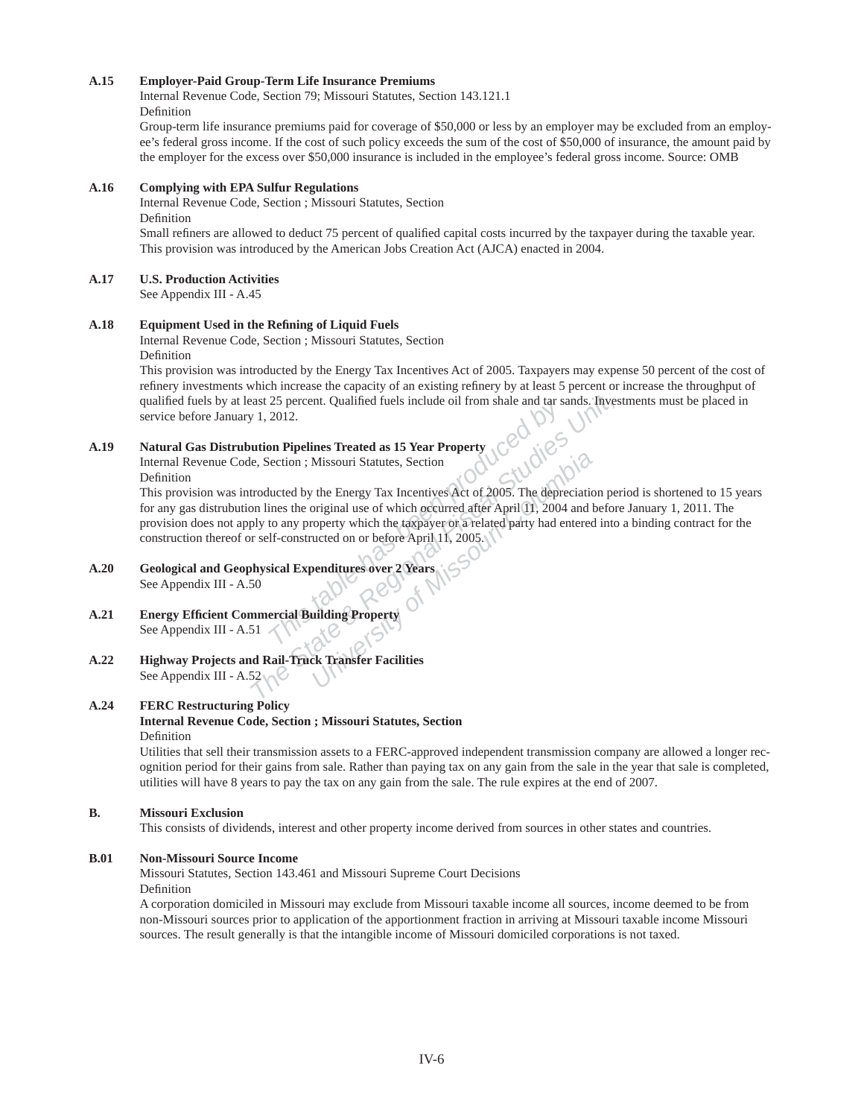#### **A.15 Employer-Paid Group-Term Life Insurance Premiums**

Internal Revenue Code, Section 79; Missouri Statutes, Section 143.121.1 Definition

Group-term life insurance premiums paid for coverage of \$50,000 or less by an employer may be excluded from an employee's federal gross income. If the cost of such policy exceeds the sum of the cost of \$50,000 of insurance, the amount paid by the employer for the excess over \$50,000 insurance is included in the employee's federal gross income. Source: OMB

#### **A.16 Complying with EPA Sulfur Regulations**

Internal Revenue Code, Section ; Missouri Statutes, Section Definition

Small refiners are allowed to deduct 75 percent of qualified capital costs incurred by the taxpayer during the taxable year. This provision was introduced by the American Jobs Creation Act (AJCA) enacted in 2004.

# **A.17 U.S. Production Activities**

See Appendix III - A.45

# A.18 Equipment Used in the Refining of Liquid Fuels

Internal Revenue Code, Section ; Missouri Statutes, Section Definition

This provision was introducted by the Energy Tax Incentives Act of 2005. Taxpayers may expense 50 percent of the cost of refinery investments which increase the capacity of an existing refinery by at least 5 percent or increase the throughput of qualified fuels by at least 25 percent. Qualified fuels include oil from shale and tar sands. Investments must be placed in service before January 1, 2012.

#### **A.19 Natural Gas Distrubution Pipelines Treated as 15 Year Property**

Internal Revenue Code, Section ; Missouri Statutes, Section

#### Definition

For the State of the State Basic and the State of 1,2012.<br> **The State Basic State Basic State Basic State Basic State & Regional Fiscal State & Regional Fiscal State Section**<br> **The State State State State State State State** Missouri-Statutes, Section<br>
the Energy Tax Incentives Act of 2005. The depreciation<br>
original use of which occurred after April 11, 2004 and l<br>
operty which the taxpayer or a related party had entered<br>
ucted on or before A This provision was introducted by the Energy Tax Incentives Act of 2005. The depreciation period is shortened to 15 years for any gas distrubution lines the original use of which occurred after April 11, 2004 and before January 1, 2011. The provision does not apply to any property which the taxpayer or a related party had entered into a binding contract for the construction thereof or self-constructed on or before April 11, 2005.

### **A.20 Geological and Geophysical Expenditures over 2 Years**  See Appendix III - A.50

- **A.21 Energy Effi cient Commercial Building Property** See Appendix III - A.51
- **A.22 Highway Projects and Rail-Truck Transfer Facilities** See Appendix III - A.52

# **A.24 FERC Restructuring Policy**

#### **Internal Revenue Code, Section ; Missouri Statutes, Section**  Definition

Utilities that sell their transmission assets to a FERC-approved independent transmission company are allowed a longer recognition period for their gains from sale. Rather than paying tax on any gain from the sale in the year that sale is completed, utilities will have 8 years to pay the tax on any gain from the sale. The rule expires at the end of 2007.

#### **B. Missouri Exclusion**

This consists of dividends, interest and other property income derived from sources in other states and countries.

#### **B.01 Non-Missouri Source Income**

Missouri Statutes, Section 143.461 and Missouri Supreme Court Decisions

Definition

A corporation domiciled in Missouri may exclude from Missouri taxable income all sources, income deemed to be from non-Missouri sources prior to application of the apportionment fraction in arriving at Missouri taxable income Missouri sources. The result generally is that the intangible income of Missouri domiciled corporations is not taxed.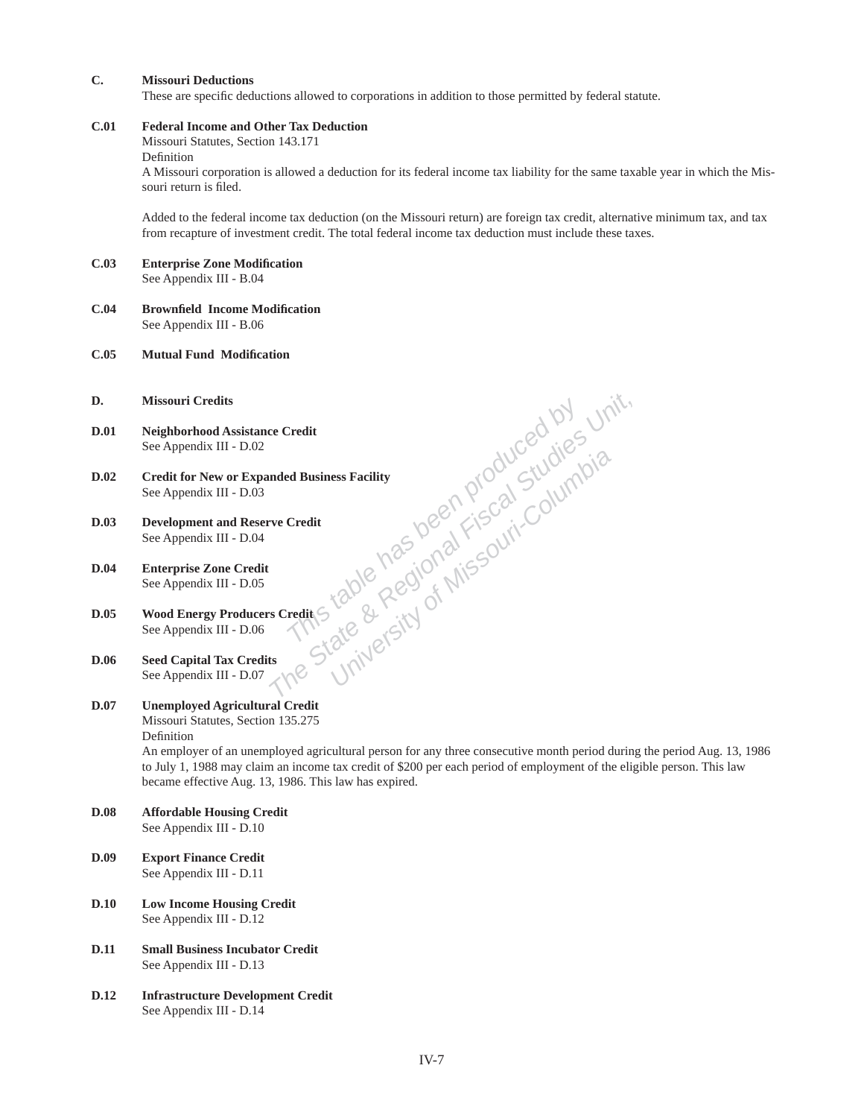# **C. Missouri Deductions**

These are specific deductions allowed to corporations in addition to those permitted by federal statute.

#### **C.01 Federal Income and Other Tax Deduction**

Missouri Statutes, Section 143.171

Definition

A Missouri corporation is allowed a deduction for its federal income tax liability for the same taxable year in which the Missouri return is filed.

Added to the federal income tax deduction (on the Missouri return) are foreign tax credit, alternative minimum tax, and tax from recapture of investment credit. The total federal income tax deduction must include these taxes.

- **C.03 Enterprise Zone Modifi cation** See Appendix III - B.04
- **C.04 Brownfi eld Income Modifi cation** See Appendix III - B.06

#### **C.05 Mutual Fund Modifi cation**

- **D. Missouri Credits**
- **D.01 Neighborhood Assistance Credit** See Appendix III - D.02
- re Credit<br>
Inded Business Facility<br>
The Credit<br>
The State & Regional Fiscal Studies University<br>
State & Regional Fiscal Studies State<br>
of Missouri-Columbia<br>
International State of Missouri-Columbia<br>
International State of **D.02 Credit for New or Expanded Business Facility** See Appendix III - D.03
- **D.03 Development and Reserve Credit** See Appendix III - D.04
- **D.04 Enterprise Zone Credit** See Appendix III - D.05
- **D.05 Wood Energy Producers Credit** See Appendix III - D.06
- **D.06 Seed Capital Tax Credits** See Appendix III - D.07

# **D.07 Unemployed Agricultural Credit**

Missouri Statutes, Section 135.275 Definition

An employer of an unemployed agricultural person for any three consecutive month period during the period Aug. 13, 1986 to July 1, 1988 may claim an income tax credit of \$200 per each period of employment of the eligible person. This law became effective Aug. 13, 1986. This law has expired.

- **D.08 Affordable Housing Credit** See Appendix III - D.10
- **D.09 Export Finance Credit** See Appendix III - D.11
- **D.10 Low Income Housing Credit** See Appendix III - D.12
- **D.11 Small Business Incubator Credit** See Appendix III - D.13
- **D.12 Infrastructure Development Credit** See Appendix III - D.14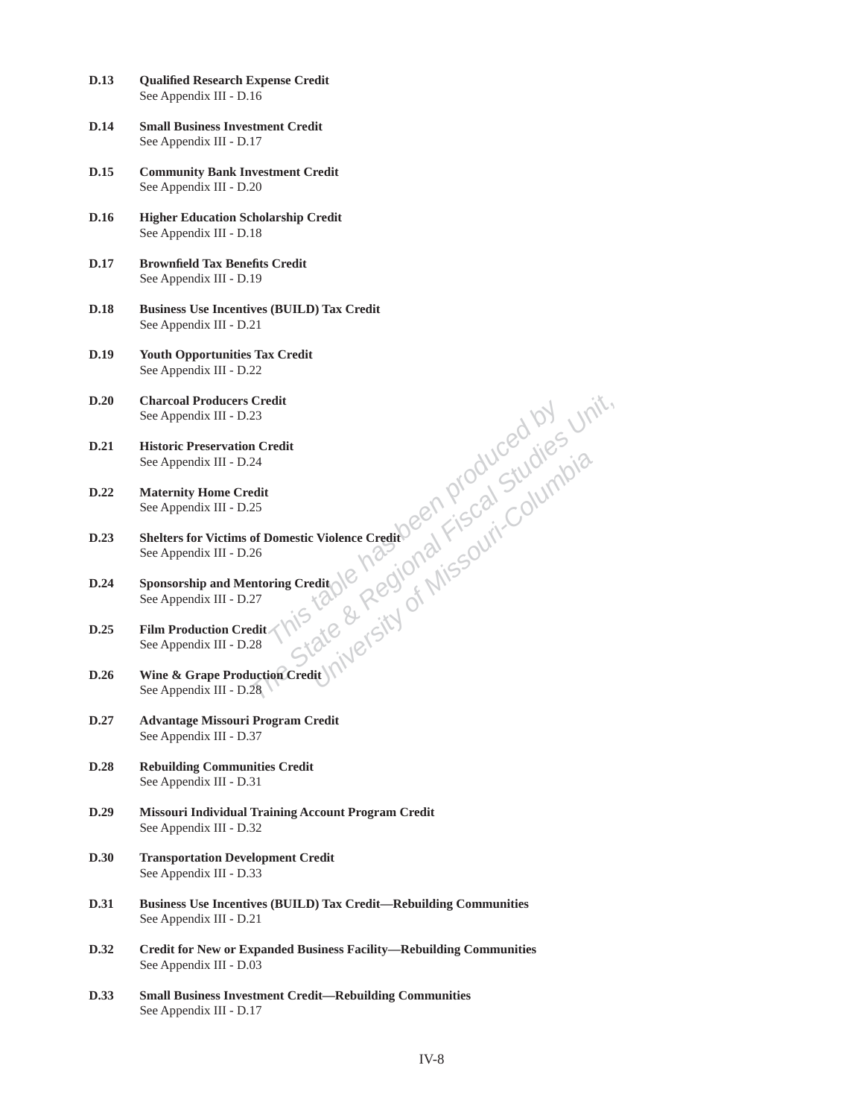| D.13        | <b>Qualified Research Expense Credit</b><br>See Appendix III - D.16                                                                                                                                                                                 |
|-------------|-----------------------------------------------------------------------------------------------------------------------------------------------------------------------------------------------------------------------------------------------------|
| D.14        | <b>Small Business Investment Credit</b><br>See Appendix III - D.17                                                                                                                                                                                  |
| D.15        | <b>Community Bank Investment Credit</b><br>See Appendix III - D.20                                                                                                                                                                                  |
| D.16        | <b>Higher Education Scholarship Credit</b><br>See Appendix III - D.18                                                                                                                                                                               |
| <b>D.17</b> | <b>Brownfield Tax Benefits Credit</b><br>See Appendix III - D.19                                                                                                                                                                                    |
| <b>D.18</b> | <b>Business Use Incentives (BUILD) Tax Credit</b><br>See Appendix III - D.21                                                                                                                                                                        |
| D.19        | <b>Youth Opportunities Tax Credit</b><br>See Appendix III - D.22                                                                                                                                                                                    |
| D.20        |                                                                                                                                                                                                                                                     |
| D.21        |                                                                                                                                                                                                                                                     |
| D.22        |                                                                                                                                                                                                                                                     |
| D.23        | 9 Appendix III - D.25<br>See Appendix III - D.25<br>See Appendix III - D.26<br>See Appendix III - D.26<br>See Appendix III - D.26<br>See Appendix III - D.27<br>Film Production Credit (No 2 COU <sup>C)</sup> (NO 5 OUT)<br>See Appendix III - D.2 |
| D.24        |                                                                                                                                                                                                                                                     |
| D.25        |                                                                                                                                                                                                                                                     |
| D.26        |                                                                                                                                                                                                                                                     |
| D.27        | See Appendix III - D.37                                                                                                                                                                                                                             |
| D.28        | <b>Rebuilding Communities Credit</b><br>See Appendix III - D.31                                                                                                                                                                                     |
| D.29        | <b>Missouri Individual Training Account Program Credit</b><br>See Appendix III - D.32                                                                                                                                                               |
| D.30        | <b>Transportation Development Credit</b><br>See Appendix III - D.33                                                                                                                                                                                 |
| D.31        | <b>Business Use Incentives (BUILD) Tax Credit—Rebuilding Communities</b><br>See Appendix III - D.21                                                                                                                                                 |
| D.32        | <b>Credit for New or Expanded Business Facility—Rebuilding Communities</b><br>See Appendix III - D.03                                                                                                                                               |
| D.33        | <b>Small Business Investment Credit-Rebuilding Communities</b><br>See Appendix III - D.17                                                                                                                                                           |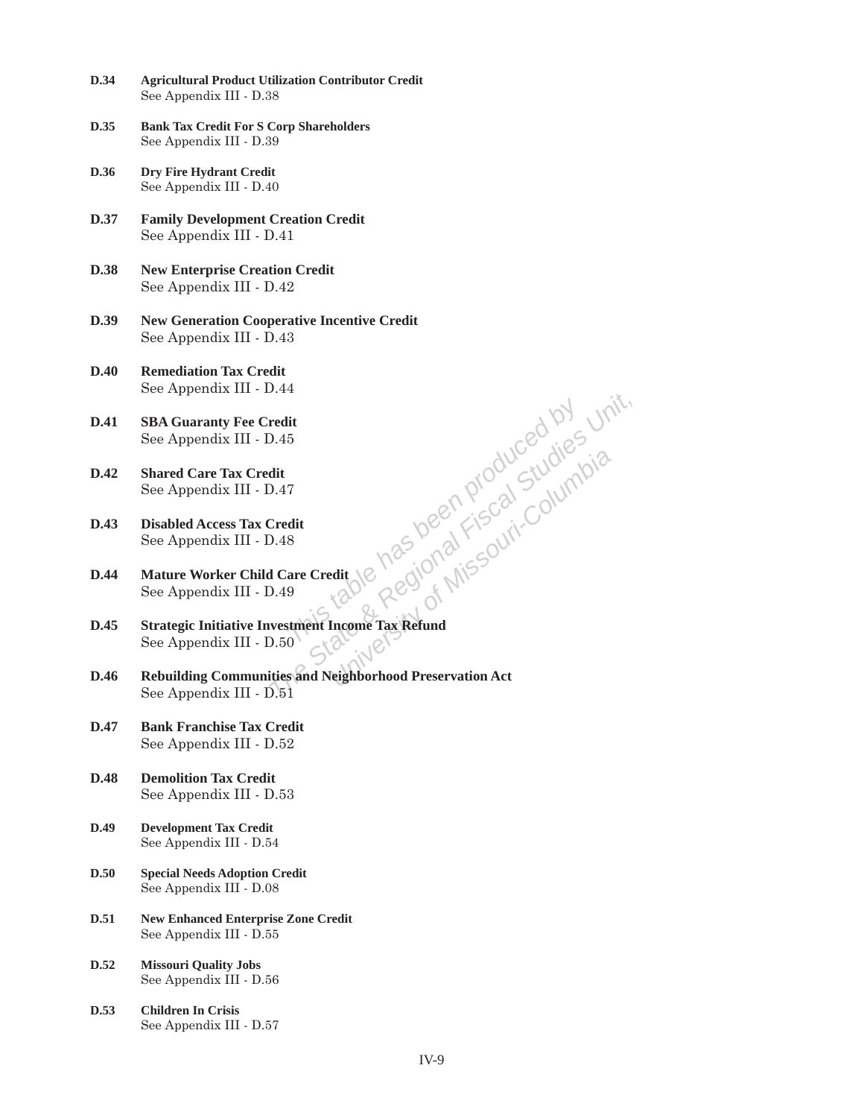- **D.34 Agricultural Product Utilization Contributor Credit** See Appendix III - D.38
- **D.35 Bank Tax Credit For S Corp Shareholders** See Appendix III - D.39
- **D.36 Dry Fire Hydrant Credit** See Appendix III - D.40
- **D.37 Family Development Creation Credit** See Appendix III - D.41
- **D.38 New Enterprise Creation Credit** See Appendix III - D.42
- **D.39 New Generation Cooperative Incentive Credit** See Appendix III - D.43
- **D.40 Remediation Tax Credit** See Appendix III - D.44
- **D.41 SBA Guaranty Fee Credit** See Appendix III - D.45
- **D.42 Shared Care Tax Credit** See Appendix III - D.47
- **D.43 Disabled Access Tax Credit** See Appendix III - D.48
- **D.44 Mature Worker Child Care Credit** See Appendix III - D.49
- **D.45 Strategic Initiative Investment Income Tax Refund** See Appendix III - D.50
- **The State of Produced by Unit,**<br>
1.45<br>
The State Credit<br>
1.48<br> **The State Credit**<br>
1.48<br> **The State Credit**<br>
1.49<br> **The Regional Fiscal State State Columbia**<br> **The State Columbia**<br> **The State State Of Missouri-Columbia**<br> **D.46 Rebuilding Communities and Neighborhood Preservation Act** See Appendix III - D.51
- **D.47 Bank Franchise Tax Credit** See Appendix III - D.52
- **D.48 Demolition Tax Credit** See Appendix III - D.53
- **D.49 Development Tax Credit**  See Appendix III - D.54
- **D.50 Special Needs Adoption Credit**  See Appendix III - D.08
- **D.51 New Enhanced Enterprise Zone Credit**  See Appendix III - D.55
- **D.52 Missouri Quality Jobs**  See Appendix III - D.56
- **D.53 Children In Crisis**  See Appendix III - D.57